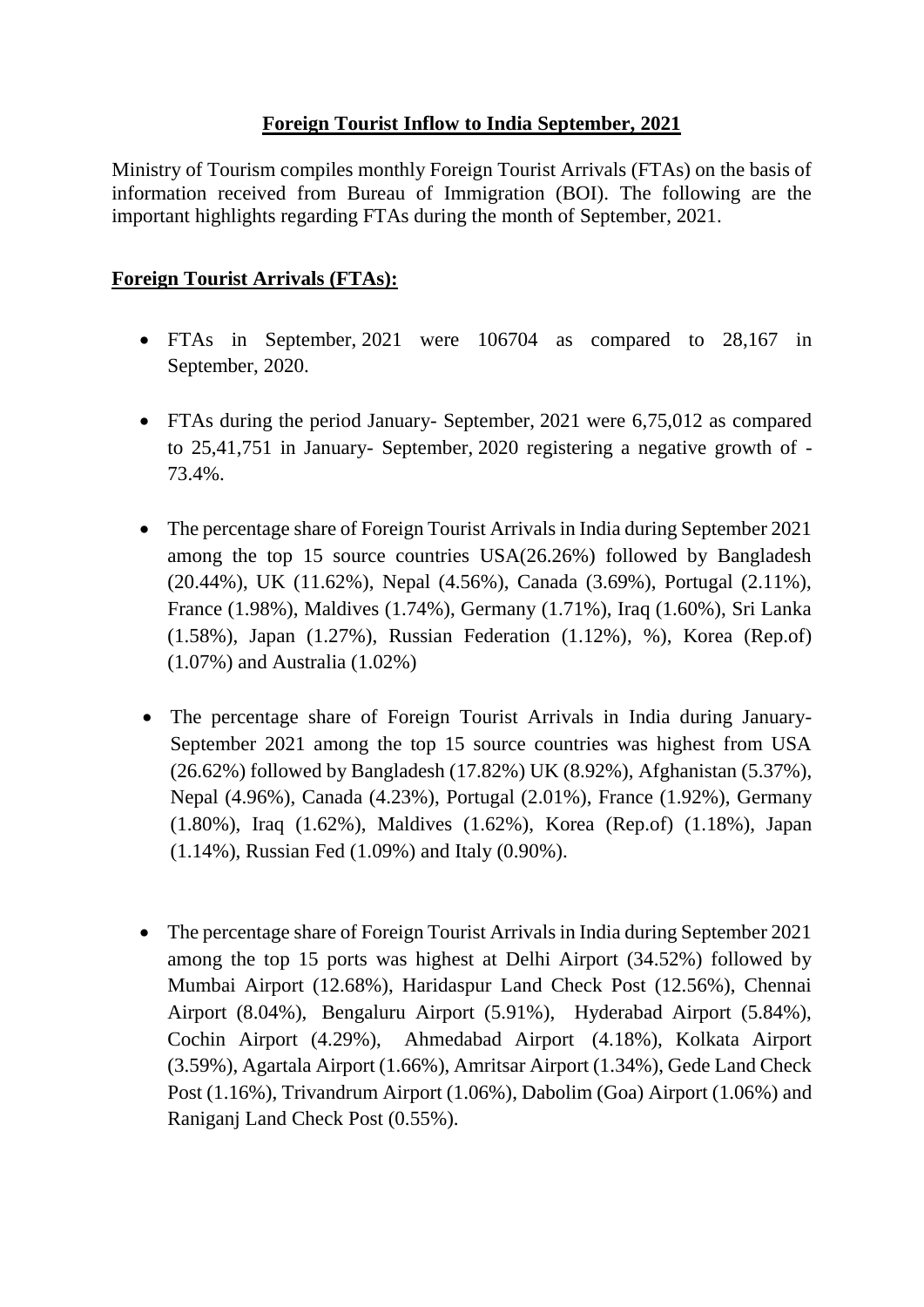## **Foreign Tourist Inflow to India September, 2021**

Ministry of Tourism compiles monthly Foreign Tourist Arrivals (FTAs) on the basis of information received from Bureau of Immigration (BOI). The following are the important highlights regarding FTAs during the month of September, 2021.

## **Foreign Tourist Arrivals (FTAs):**

- FTAs in September, 2021 were 106704 as compared to 28,167 in September, 2020.
- FTAs during the period January- September, 2021 were 6,75,012 as compared to 25,41,751 in January- September, 2020 registering a negative growth of - 73.4%.
- The percentage share of Foreign Tourist Arrivals in India during September 2021 among the top 15 source countries USA(26.26%) followed by Bangladesh (20.44%), UK (11.62%), Nepal (4.56%), Canada (3.69%), Portugal (2.11%), France (1.98%), Maldives (1.74%), Germany (1.71%), Iraq (1.60%), Sri Lanka (1.58%), Japan (1.27%), Russian Federation (1.12%), %), Korea (Rep.of) (1.07%) and Australia (1.02%)
- The percentage share of Foreign Tourist Arrivals in India during January-September 2021 among the top 15 source countries was highest from USA (26.62%) followed by Bangladesh (17.82%) UK (8.92%), Afghanistan (5.37%), Nepal (4.96%), Canada (4.23%), Portugal (2.01%), France (1.92%), Germany (1.80%), Iraq (1.62%), Maldives (1.62%), Korea (Rep.of) (1.18%), Japan (1.14%), Russian Fed (1.09%) and Italy (0.90%).
- The percentage share of Foreign Tourist Arrivals in India during September 2021 among the top 15 ports was highest at Delhi Airport (34.52%) followed by Mumbai Airport (12.68%), Haridaspur Land Check Post (12.56%), Chennai Airport (8.04%), Bengaluru Airport (5.91%), Hyderabad Airport (5.84%), Cochin Airport (4.29%), Ahmedabad Airport (4.18%), Kolkata Airport (3.59%), Agartala Airport (1.66%), Amritsar Airport (1.34%), Gede Land Check Post (1.16%), Trivandrum Airport (1.06%), Dabolim (Goa) Airport (1.06%) and Raniganj Land Check Post (0.55%).